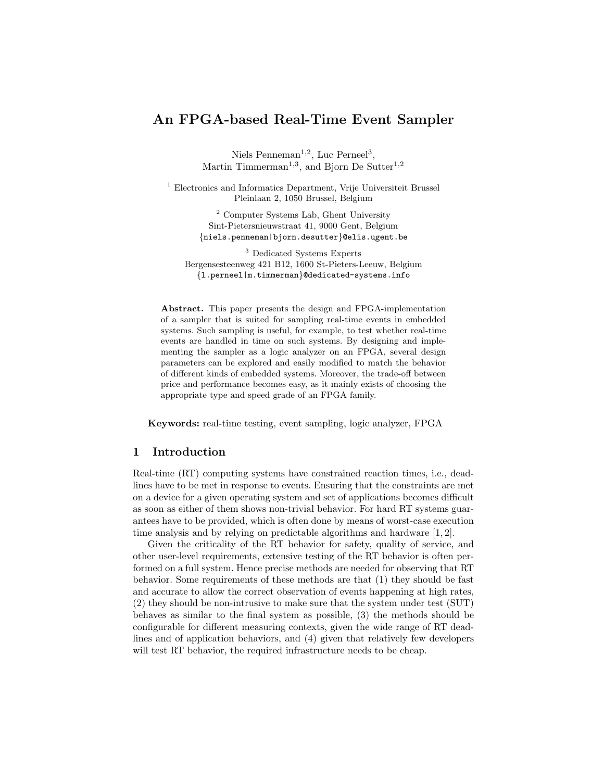# An FPGA-based Real-Time Event Sampler

Niels Penneman<sup>1,2</sup>, Luc Perneel<sup>3</sup>, Martin Timmerman<sup>1,3</sup>, and Bjorn De Sutter<sup>1,2</sup>

<sup>1</sup> Electronics and Informatics Department, Vrije Universiteit Brussel Pleinlaan 2, 1050 Brussel, Belgium

> <sup>2</sup> Computer Systems Lab, Ghent University Sint-Pietersnieuwstraat 41, 9000 Gent, Belgium {niels.penneman|bjorn.desutter}@elis.ugent.be

<sup>3</sup> Dedicated Systems Experts Bergensesteenweg 421 B12, 1600 St-Pieters-Leeuw, Belgium {l.perneel|m.timmerman}@dedicated-systems.info

Abstract. This paper presents the design and FPGA-implementation of a sampler that is suited for sampling real-time events in embedded systems. Such sampling is useful, for example, to test whether real-time events are handled in time on such systems. By designing and implementing the sampler as a logic analyzer on an FPGA, several design parameters can be explored and easily modified to match the behavior of different kinds of embedded systems. Moreover, the trade-off between price and performance becomes easy, as it mainly exists of choosing the appropriate type and speed grade of an FPGA family.

Keywords: real-time testing, event sampling, logic analyzer, FPGA

# 1 Introduction

Real-time (RT) computing systems have constrained reaction times, i.e., deadlines have to be met in response to events. Ensuring that the constraints are met on a device for a given operating system and set of applications becomes difficult as soon as either of them shows non-trivial behavior. For hard RT systems guarantees have to be provided, which is often done by means of worst-case execution time analysis and by relying on predictable algorithms and hardware [1, 2].

Given the criticality of the RT behavior for safety, quality of service, and other user-level requirements, extensive testing of the RT behavior is often performed on a full system. Hence precise methods are needed for observing that RT behavior. Some requirements of these methods are that (1) they should be fast and accurate to allow the correct observation of events happening at high rates, (2) they should be non-intrusive to make sure that the system under test (SUT) behaves as similar to the final system as possible, (3) the methods should be configurable for different measuring contexts, given the wide range of RT deadlines and of application behaviors, and (4) given that relatively few developers will test RT behavior, the required infrastructure needs to be cheap.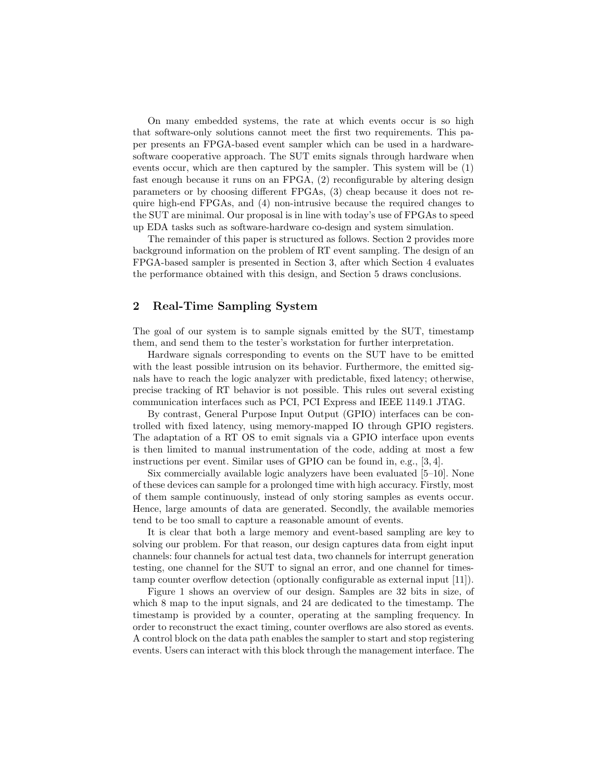On many embedded systems, the rate at which events occur is so high that software-only solutions cannot meet the first two requirements. This paper presents an FPGA-based event sampler which can be used in a hardwaresoftware cooperative approach. The SUT emits signals through hardware when events occur, which are then captured by the sampler. This system will be (1) fast enough because it runs on an FPGA, (2) reconfigurable by altering design parameters or by choosing different FPGAs, (3) cheap because it does not require high-end FPGAs, and (4) non-intrusive because the required changes to the SUT are minimal. Our proposal is in line with today's use of FPGAs to speed up EDA tasks such as software-hardware co-design and system simulation.

The remainder of this paper is structured as follows. Section 2 provides more background information on the problem of RT event sampling. The design of an FPGA-based sampler is presented in Section 3, after which Section 4 evaluates the performance obtained with this design, and Section 5 draws conclusions.

# 2 Real-Time Sampling System

The goal of our system is to sample signals emitted by the SUT, timestamp them, and send them to the tester's workstation for further interpretation.

Hardware signals corresponding to events on the SUT have to be emitted with the least possible intrusion on its behavior. Furthermore, the emitted signals have to reach the logic analyzer with predictable, fixed latency; otherwise, precise tracking of RT behavior is not possible. This rules out several existing communication interfaces such as PCI, PCI Express and IEEE 1149.1 JTAG.

By contrast, General Purpose Input Output (GPIO) interfaces can be controlled with fixed latency, using memory-mapped IO through GPIO registers. The adaptation of a RT OS to emit signals via a GPIO interface upon events is then limited to manual instrumentation of the code, adding at most a few instructions per event. Similar uses of GPIO can be found in, e.g., [3, 4].

Six commercially available logic analyzers have been evaluated [5–10]. None of these devices can sample for a prolonged time with high accuracy. Firstly, most of them sample continuously, instead of only storing samples as events occur. Hence, large amounts of data are generated. Secondly, the available memories tend to be too small to capture a reasonable amount of events.

It is clear that both a large memory and event-based sampling are key to solving our problem. For that reason, our design captures data from eight input channels: four channels for actual test data, two channels for interrupt generation testing, one channel for the SUT to signal an error, and one channel for timestamp counter overflow detection (optionally configurable as external input [11]).

Figure 1 shows an overview of our design. Samples are 32 bits in size, of which 8 map to the input signals, and 24 are dedicated to the timestamp. The timestamp is provided by a counter, operating at the sampling frequency. In order to reconstruct the exact timing, counter overflows are also stored as events. A control block on the data path enables the sampler to start and stop registering events. Users can interact with this block through the management interface. The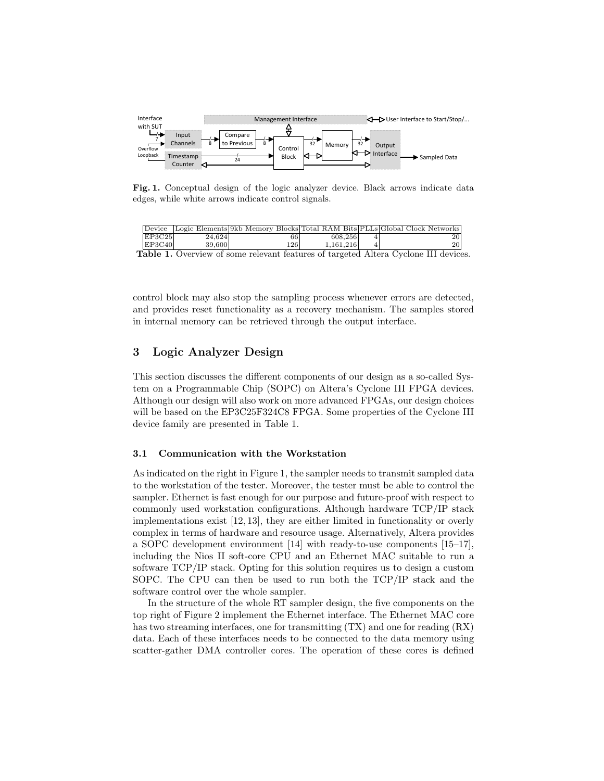

Fig. 1. Conceptual design of the logic analyzer device. Black arrows indicate data edges, while white arrows indicate control signals.

| Device  | Logic Elements 9kb Memory Blocks Total RAM Bits PLLs Global Clock Networks                |     |           |         |   |         |
|---------|-------------------------------------------------------------------------------------------|-----|-----------|---------|---|---------|
| EP3C25  | 24.624                                                                                    | 661 |           | 608.256 | 4 | $^{20}$ |
| EP3C40l | 39,600                                                                                    | 126 | 1.161.216 |         |   | 20      |
|         | <b>Table 1.</b> Overview of some relevant features of targeted Altera Cyclone III devices |     |           |         |   |         |

control block may also stop the sampling process whenever errors are detected, and provides reset functionality as a recovery mechanism. The samples stored in internal memory can be retrieved through the output interface.

# 3 Logic Analyzer Design

This section discusses the different components of our design as a so-called System on a Programmable Chip (SOPC) on Altera's Cyclone III FPGA devices. Although our design will also work on more advanced FPGAs, our design choices will be based on the EP3C25F324C8 FPGA. Some properties of the Cyclone III device family are presented in Table 1.

#### 3.1 Communication with the Workstation

As indicated on the right in Figure 1, the sampler needs to transmit sampled data to the workstation of the tester. Moreover, the tester must be able to control the sampler. Ethernet is fast enough for our purpose and future-proof with respect to commonly used workstation configurations. Although hardware TCP/IP stack implementations exist [12, 13], they are either limited in functionality or overly complex in terms of hardware and resource usage. Alternatively, Altera provides a SOPC development environment [14] with ready-to-use components [15–17], including the Nios II soft-core CPU and an Ethernet MAC suitable to run a software TCP/IP stack. Opting for this solution requires us to design a custom SOPC. The CPU can then be used to run both the TCP/IP stack and the software control over the whole sampler.

In the structure of the whole RT sampler design, the five components on the top right of Figure 2 implement the Ethernet interface. The Ethernet MAC core has two streaming interfaces, one for transmitting (TX) and one for reading (RX) data. Each of these interfaces needs to be connected to the data memory using scatter-gather DMA controller cores. The operation of these cores is defined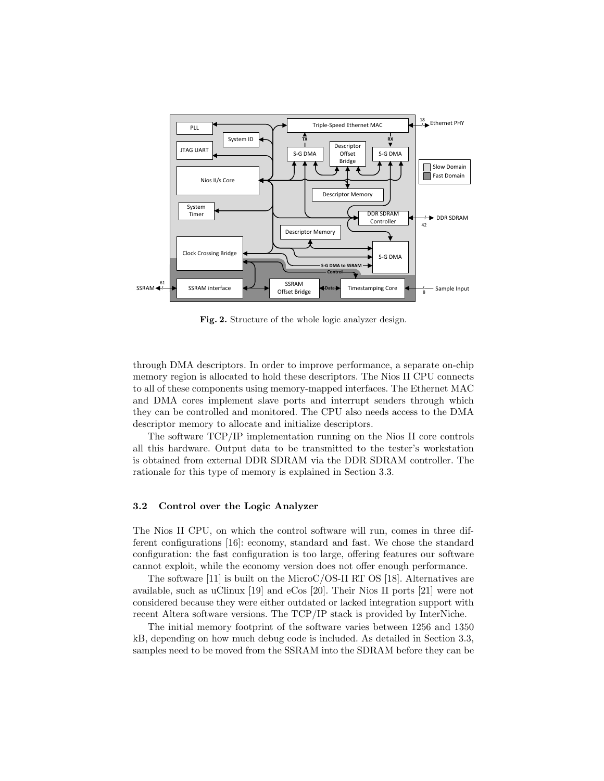

Fig. 2. Structure of the whole logic analyzer design.

through DMA descriptors. In order to improve performance, a separate on-chip memory region is allocated to hold these descriptors. The Nios II CPU connects to all of these components using memory-mapped interfaces. The Ethernet MAC and DMA cores implement slave ports and interrupt senders through which they can be controlled and monitored. The CPU also needs access to the DMA descriptor memory to allocate and initialize descriptors.

The software TCP/IP implementation running on the Nios II core controls all this hardware. Output data to be transmitted to the tester's workstation is obtained from external DDR SDRAM via the DDR SDRAM controller. The rationale for this type of memory is explained in Section 3.3.

## 3.2 Control over the Logic Analyzer

The Nios II CPU, on which the control software will run, comes in three different configurations [16]: economy, standard and fast. We chose the standard configuration: the fast configuration is too large, offering features our software cannot exploit, while the economy version does not offer enough performance.

The software [11] is built on the MicroC/OS-II RT OS [18]. Alternatives are available, such as uClinux [19] and eCos [20]. Their Nios II ports [21] were not considered because they were either outdated or lacked integration support with recent Altera software versions. The TCP/IP stack is provided by InterNiche.

The initial memory footprint of the software varies between 1256 and 1350 kB, depending on how much debug code is included. As detailed in Section 3.3, samples need to be moved from the SSRAM into the SDRAM before they can be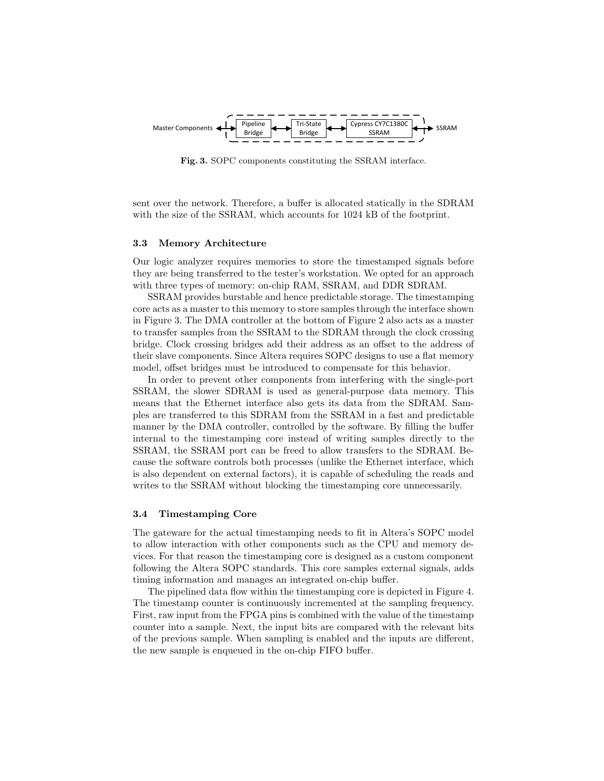

Fig. 3. SOPC components constituting the SSRAM interface.

sent over the network. Therefore, a buffer is allocated statically in the SDRAM with the size of the SSRAM, which accounts for 1024 kB of the footprint.

## 3.3 Memory Architecture

Our logic analyzer requires memories to store the timestamped signals before they are being transferred to the tester's workstation. We opted for an approach with three types of memory: on-chip RAM, SSRAM, and DDR SDRAM.

SSRAM provides burstable and hence predictable storage. The timestamping core acts as a master to this memory to store samples through the interface shown in Figure 3. The DMA controller at the bottom of Figure 2 also acts as a master to transfer samples from the SSRAM to the SDRAM through the clock crossing bridge. Clock crossing bridges add their address as an offset to the address of their slave components. Since Altera requires SOPC designs to use a flat memory model, offset bridges must be introduced to compensate for this behavior.

In order to prevent other components from interfering with the single-port SSRAM, the slower SDRAM is used as general-purpose data memory. This means that the Ethernet interface also gets its data from the SDRAM. Samples are transferred to this SDRAM from the SSRAM in a fast and predictable manner by the DMA controller, controlled by the software. By filling the buffer internal to the timestamping core instead of writing samples directly to the SSRAM, the SSRAM port can be freed to allow transfers to the SDRAM. Because the software controls both processes (unlike the Ethernet interface, which is also dependent on external factors), it is capable of scheduling the reads and writes to the SSRAM without blocking the timestamping core unnecessarily.

#### 3.4 Timestamping Core

The gateware for the actual timestamping needs to fit in Altera's SOPC model to allow interaction with other components such as the CPU and memory devices. For that reason the timestamping core is designed as a custom component following the Altera SOPC standards. This core samples external signals, adds timing information and manages an integrated on-chip buffer.

The pipelined data flow within the timestamping core is depicted in Figure 4. The timestamp counter is continuously incremented at the sampling frequency. First, raw input from the FPGA pins is combined with the value of the timestamp counter into a sample. Next, the input bits are compared with the relevant bits of the previous sample. When sampling is enabled and the inputs are different, the new sample is enqueued in the on-chip FIFO buffer.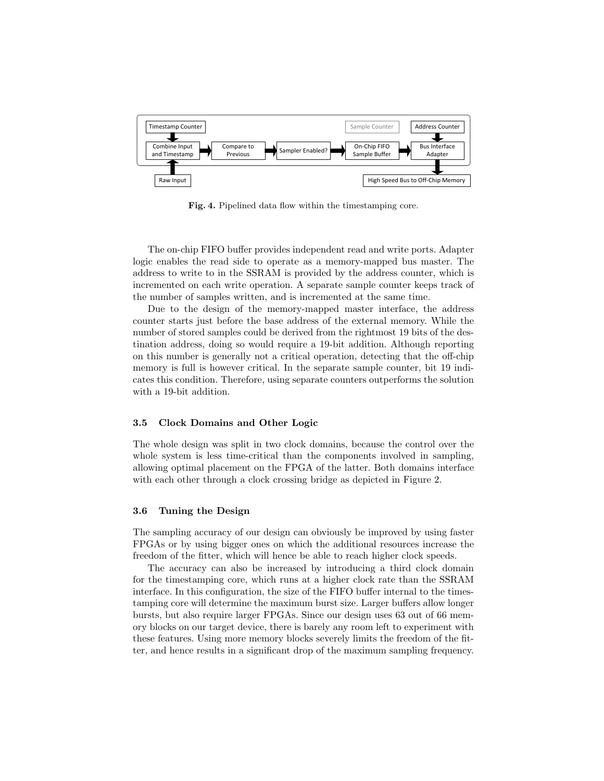

Fig. 4. Pipelined data flow within the timestamping core.

The on-chip FIFO buffer provides independent read and write ports. Adapter logic enables the read side to operate as a memory-mapped bus master. The address to write to in the SSRAM is provided by the address counter, which is incremented on each write operation. A separate sample counter keeps track of the number of samples written, and is incremented at the same time.

Due to the design of the memory-mapped master interface, the address counter starts just before the base address of the external memory. While the number of stored samples could be derived from the rightmost 19 bits of the destination address, doing so would require a 19-bit addition. Although reporting on this number is generally not a critical operation, detecting that the off-chip memory is full is however critical. In the separate sample counter, bit 19 indicates this condition. Therefore, using separate counters outperforms the solution with a 19-bit addition.

#### 3.5 Clock Domains and Other Logic

The whole design was split in two clock domains, because the control over the whole system is less time-critical than the components involved in sampling, allowing optimal placement on the FPGA of the latter. Both domains interface with each other through a clock crossing bridge as depicted in Figure 2.

#### 3.6 Tuning the Design

The sampling accuracy of our design can obviously be improved by using faster FPGAs or by using bigger ones on which the additional resources increase the freedom of the fitter, which will hence be able to reach higher clock speeds.

The accuracy can also be increased by introducing a third clock domain for the timestamping core, which runs at a higher clock rate than the SSRAM interface. In this configuration, the size of the FIFO buffer internal to the timestamping core will determine the maximum burst size. Larger buffers allow longer bursts, but also require larger FPGAs. Since our design uses 63 out of 66 memory blocks on our target device, there is barely any room left to experiment with these features. Using more memory blocks severely limits the freedom of the fitter, and hence results in a significant drop of the maximum sampling frequency.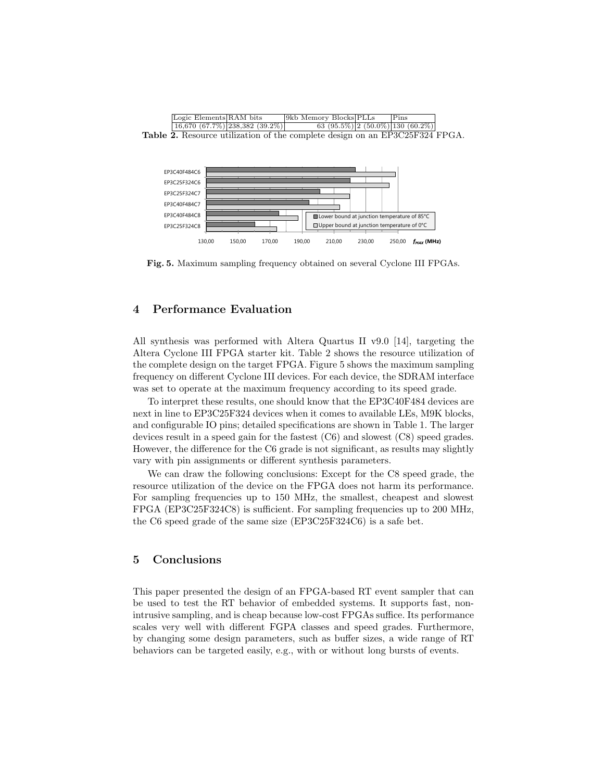

Logic Elements RAM bits 9kb Memory Blocks PLLs Pins  $16,670 (67.7%) [238,382 (39.2%)$  63 (95.5%) 2 (50.0%) 130 (60.2%) Table 2. Resource utilization of the complete design on an EP3C25F324 FPGA.

Fig. 5. Maximum sampling frequency obtained on several Cyclone III FPGAs.

# 4 Performance Evaluation

All synthesis was performed with Altera Quartus II v9.0 [14], targeting the Altera Cyclone III FPGA starter kit. Table 2 shows the resource utilization of the complete design on the target FPGA. Figure 5 shows the maximum sampling frequency on different Cyclone III devices. For each device, the SDRAM interface was set to operate at the maximum frequency according to its speed grade.

To interpret these results, one should know that the EP3C40F484 devices are next in line to EP3C25F324 devices when it comes to available LEs, M9K blocks, and configurable IO pins; detailed specifications are shown in Table 1. The larger devices result in a speed gain for the fastest (C6) and slowest (C8) speed grades. However, the difference for the C6 grade is not significant, as results may slightly vary with pin assignments or different synthesis parameters.

We can draw the following conclusions: Except for the C8 speed grade, the resource utilization of the device on the FPGA does not harm its performance. For sampling frequencies up to 150 MHz, the smallest, cheapest and slowest FPGA (EP3C25F324C8) is sufficient. For sampling frequencies up to 200 MHz, the C6 speed grade of the same size (EP3C25F324C6) is a safe bet.

# 5 Conclusions

This paper presented the design of an FPGA-based RT event sampler that can be used to test the RT behavior of embedded systems. It supports fast, nonintrusive sampling, and is cheap because low-cost FPGAs suffice. Its performance scales very well with different FGPA classes and speed grades. Furthermore, by changing some design parameters, such as buffer sizes, a wide range of RT behaviors can be targeted easily, e.g., with or without long bursts of events.